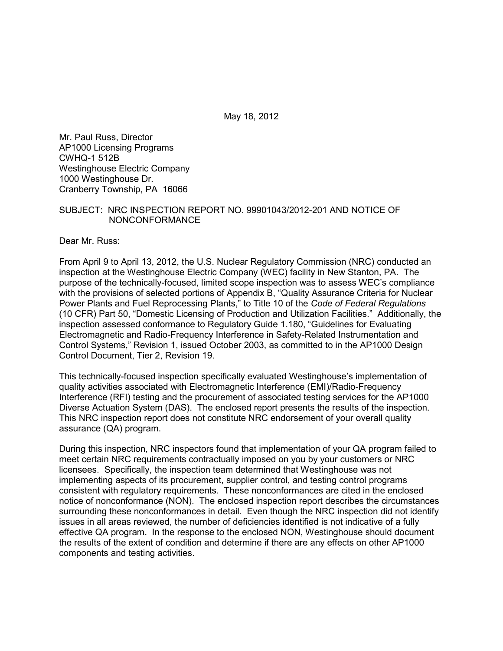May 18, 2012

Mr. Paul Russ, Director AP1000 Licensing Programs CWHQ-1 512B Westinghouse Electric Company 1000 Westinghouse Dr. Cranberry Township, PA 16066

### SUBJECT: NRC INSPECTION REPORT NO. 99901043/2012-201 AND NOTICE OF NONCONFORMANCE

Dear Mr. Russ:

From April 9 to April 13, 2012, the U.S. Nuclear Regulatory Commission (NRC) conducted an inspection at the Westinghouse Electric Company (WEC) facility in New Stanton, PA. The purpose of the technically-focused, limited scope inspection was to assess WEC's compliance with the provisions of selected portions of Appendix B, "Quality Assurance Criteria for Nuclear Power Plants and Fuel Reprocessing Plants," to Title 10 of the *Code of Federal Regulations* (10 CFR) Part 50, "Domestic Licensing of Production and Utilization Facilities." Additionally, the inspection assessed conformance to Regulatory Guide 1.180, "Guidelines for Evaluating Electromagnetic and Radio-Frequency Interference in Safety-Related Instrumentation and Control Systems," Revision 1, issued October 2003, as committed to in the AP1000 Design Control Document, Tier 2, Revision 19.

This technically-focused inspection specifically evaluated Westinghouse's implementation of quality activities associated with Electromagnetic Interference (EMI)/Radio-Frequency Interference (RFI) testing and the procurement of associated testing services for the AP1000 Diverse Actuation System (DAS). The enclosed report presents the results of the inspection. This NRC inspection report does not constitute NRC endorsement of your overall quality assurance (QA) program.

During this inspection, NRC inspectors found that implementation of your QA program failed to meet certain NRC requirements contractually imposed on you by your customers or NRC licensees. Specifically, the inspection team determined that Westinghouse was not implementing aspects of its procurement, supplier control, and testing control programs consistent with regulatory requirements. These nonconformances are cited in the enclosed notice of nonconformance (NON). The enclosed inspection report describes the circumstances surrounding these nonconformances in detail. Even though the NRC inspection did not identify issues in all areas reviewed, the number of deficiencies identified is not indicative of a fully effective QA program. In the response to the enclosed NON, Westinghouse should document the results of the extent of condition and determine if there are any effects on other AP1000 components and testing activities.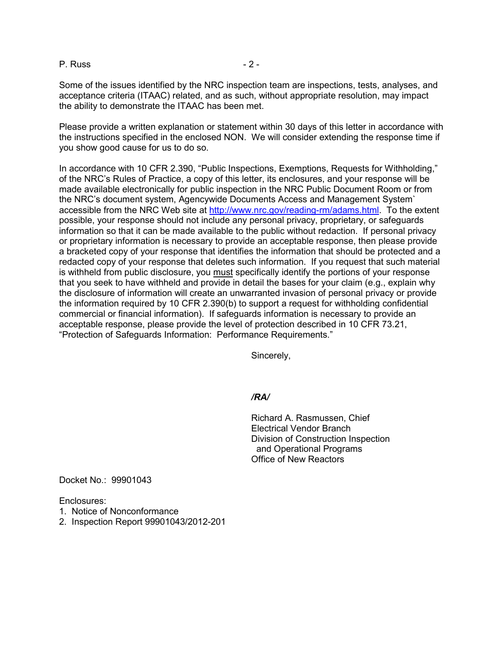P. Russ - 2 -

Some of the issues identified by the NRC inspection team are inspections, tests, analyses, and acceptance criteria (ITAAC) related, and as such, without appropriate resolution, may impact the ability to demonstrate the ITAAC has been met.

Please provide a written explanation or statement within 30 days of this letter in accordance with the instructions specified in the enclosed NON. We will consider extending the response time if you show good cause for us to do so.

In accordance with 10 CFR 2.390, "Public Inspections, Exemptions, Requests for Withholding," of the NRC's Rules of Practice, a copy of this letter, its enclosures, and your response will be made available electronically for public inspection in the NRC Public Document Room or from the NRC's document system, Agencywide Documents Access and Management System` accessible from the NRC Web site at http://www.nrc.gov/reading-rm/adams.html. To the extent possible, your response should not include any personal privacy, proprietary, or safeguards information so that it can be made available to the public without redaction. If personal privacy or proprietary information is necessary to provide an acceptable response, then please provide a bracketed copy of your response that identifies the information that should be protected and a redacted copy of your response that deletes such information. If you request that such material is withheld from public disclosure, you must specifically identify the portions of your response that you seek to have withheld and provide in detail the bases for your claim (e.g., explain why the disclosure of information will create an unwarranted invasion of personal privacy or provide the information required by 10 CFR 2.390(b) to support a request for withholding confidential commercial or financial information). If safeguards information is necessary to provide an acceptable response, please provide the level of protection described in 10 CFR 73.21, "Protection of Safeguards Information: Performance Requirements."

Sincerely,

#### */RA/*

Richard A. Rasmussen, Chief Electrical Vendor Branch Division of Construction Inspection and Operational Programs Office of New Reactors

Docket No.: 99901043

Enclosures:

- 1. Notice of Nonconformance
- 2. Inspection Report 99901043/2012-201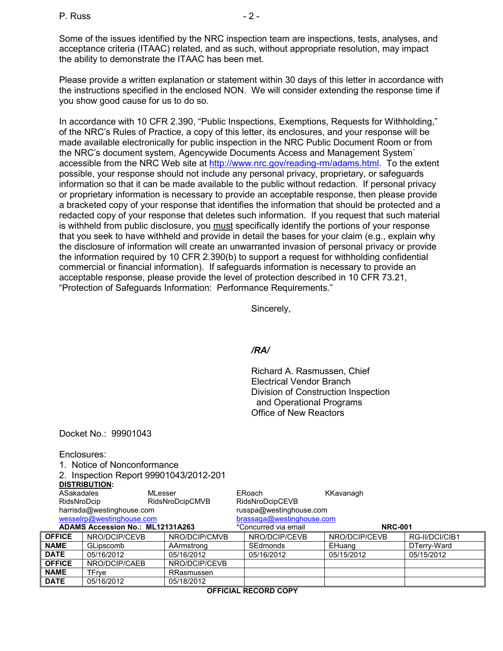Some of the issues identified by the NRC inspection team are inspections, tests, analyses, and acceptance criteria (ITAAC) related, and as such, without appropriate resolution, may impact the ability to demonstrate the ITAAC has been met.

Please provide a written explanation or statement within 30 days of this letter in accordance with the instructions specified in the enclosed NON. We will consider extending the response time if you show good cause for us to do so.

In accordance with 10 CFR 2.390, "Public Inspections, Exemptions, Requests for Withholding," of the NRC's Rules of Practice, a copy of this letter, its enclosures, and your response will be made available electronically for public inspection in the NRC Public Document Room or from the NRC's document system, Agencywide Documents Access and Management System` accessible from the NRC Web site at http://www.nrc.gov/reading-rm/adams.html. To the extent possible, your response should not include any personal privacy, proprietary, or safeguards information so that it can be made available to the public without redaction. If personal privacy or proprietary information is necessary to provide an acceptable response, then please provide a bracketed copy of your response that identifies the information that should be protected and a redacted copy of your response that deletes such information. If you request that such material is withheld from public disclosure, you must specifically identify the portions of your response that you seek to have withheld and provide in detail the bases for your claim (e.g., explain why the disclosure of information will create an unwarranted invasion of personal privacy or provide the information required by 10 CFR 2.390(b) to support a request for withholding confidential commercial or financial information). If safeguards information is necessary to provide an acceptable response, please provide the level of protection described in 10 CFR 73.21, "Protection of Safeguards Information: Performance Requirements."

Sincerely,

#### */RA/*

Richard A. Rasmussen, Chief Electrical Vendor Branch Division of Construction Inspection and Operational Programs Office of New Reactors

Docket No.: 99901043

Enclosures:

1. Notice of Nonconformance

|                                  | 2. Inspection Report 99901043/2012-201 |                      |                           |                                                                                                                                                                                                                                                                                                                                    |               |                          |
|----------------------------------|----------------------------------------|----------------------|---------------------------|------------------------------------------------------------------------------------------------------------------------------------------------------------------------------------------------------------------------------------------------------------------------------------------------------------------------------------|---------------|--------------------------|
|                                  | <b>DISTRIBUTION:</b>                   |                      |                           |                                                                                                                                                                                                                                                                                                                                    |               |                          |
| ASakadales                       | MLesser                                |                      |                           | ERoach                                                                                                                                                                                                                                                                                                                             | KKavanagh     |                          |
| RidsNroDcip                      |                                        | RidsNroDcipCMVB      |                           | RidsNroDcipCEVB                                                                                                                                                                                                                                                                                                                    |               |                          |
| harrisda@westinghouse.com        |                                        |                      | russpa@westinghouse.com   |                                                                                                                                                                                                                                                                                                                                    |               |                          |
| wesselrp@westinghouse.com        |                                        |                      | brassaga@westinghouse.com |                                                                                                                                                                                                                                                                                                                                    |               |                          |
| ADAMS Accession No.: ML12131A263 |                                        | *Concurred via email |                           | <b>NRC-001</b>                                                                                                                                                                                                                                                                                                                     |               |                          |
| <b>OFFICE</b>                    | NRO/DCIP/CEVB                          | NRO/DCIP/CMVB        |                           | NRO/DCIP/CEVB                                                                                                                                                                                                                                                                                                                      | NRO/DCIP/CEVB | R                        |
| .                                |                                        | <b>AA I</b>          |                           | $\mathbf{A}$ $\mathbf{C}$ $\mathbf{A}$ $\mathbf{A}$ $\mathbf{A}$ $\mathbf{A}$ $\mathbf{A}$ $\mathbf{A}$ $\mathbf{A}$ $\mathbf{A}$ $\mathbf{A}$ $\mathbf{A}$ $\mathbf{A}$ $\mathbf{A}$ $\mathbf{A}$ $\mathbf{A}$ $\mathbf{A}$ $\mathbf{A}$ $\mathbf{A}$ $\mathbf{A}$ $\mathbf{A}$ $\mathbf{A}$ $\mathbf{A}$ $\mathbf{A}$ $\mathbf{$ | <b>PLANES</b> | $\overline{\phantom{0}}$ |

| <b>DATE</b>   | 05/16/2012    | 05/18/2012    |               |               |                |  |
|---------------|---------------|---------------|---------------|---------------|----------------|--|
| <b>NAME</b>   | TFrve         | RRasmussen    |               |               |                |  |
| <b>OFFICE</b> | NRO/DCIP/CAEB | NRO/DCIP/CEVB |               |               |                |  |
| <b>DATE</b>   | 05/16/2012    | 05/16/2012    | 05/16/2012    | 05/15/2012    | 05/15/2012     |  |
| <b>NAME</b>   | GLipscomb     | AArmstrong    | SEdmonds      | EHuang        | DTerrv-Ward    |  |
| <b>OFFICE</b> | NRO/DCIP/CEVB | NRO/DCIP/CMVB | NRO/DCIP/CEVB | NRO/DCIP/CEVB | RG-II/DCI/CIB1 |  |

**OFFICIAL RECORD COPY**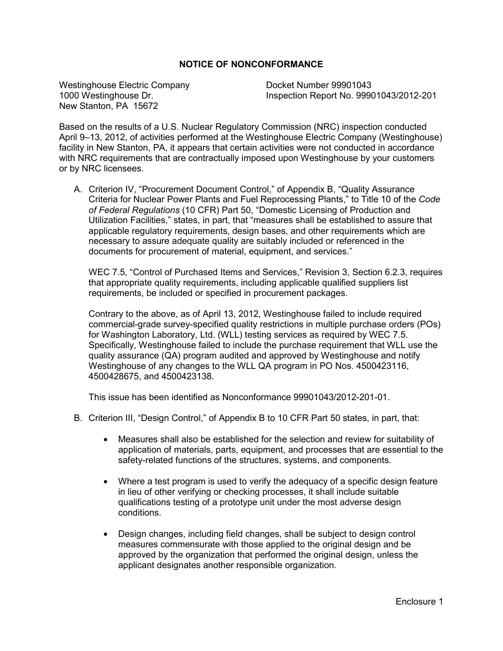# **NOTICE OF NONCONFORMANCE**

Westinghouse Electric Company<br>1000 Westinghouse Dr. 1000 Westinghouse Dr. New Stanton, PA 15672

1000 Westinghouse Dr. Inspection Report No. 99901043/2012-201

Based on the results of a U.S. Nuclear Regulatory Commission (NRC) inspection conducted April 9–13, 2012, of activities performed at the Westinghouse Electric Company (Westinghouse) facility in New Stanton, PA, it appears that certain activities were not conducted in accordance with NRC requirements that are contractually imposed upon Westinghouse by your customers or by NRC licensees.

A. Criterion IV, "Procurement Document Control," of Appendix B, "Quality Assurance Criteria for Nuclear Power Plants and Fuel Reprocessing Plants," to Title 10 of the *Code of Federal Regulations* (10 CFR) Part 50, "Domestic Licensing of Production and Utilization Facilities," states, in part, that "measures shall be established to assure that applicable regulatory requirements, design bases, and other requirements which are necessary to assure adequate quality are suitably included or referenced in the documents for procurement of material, equipment, and services."

WEC 7.5, "Control of Purchased Items and Services," Revision 3, Section 6.2.3, requires that appropriate quality requirements, including applicable qualified suppliers list requirements, be included or specified in procurement packages.

Contrary to the above, as of April 13, 2012, Westinghouse failed to include required commercial-grade survey-specified quality restrictions in multiple purchase orders (POs) for Washington Laboratory, Ltd. (WLL) testing services as required by WEC 7.5. Specifically, Westinghouse failed to include the purchase requirement that WLL use the quality assurance (QA) program audited and approved by Westinghouse and notify Westinghouse of any changes to the WLL QA program in PO Nos. 4500423116, 4500428675, and 4500423138.

This issue has been identified as Nonconformance 99901043/2012-201-01.

- B. Criterion III, "Design Control," of Appendix B to 10 CFR Part 50 states, in part, that:
	- Measures shall also be established for the selection and review for suitability of application of materials, parts, equipment, and processes that are essential to the safety-related functions of the structures, systems, and components.
	- Where a test program is used to verify the adequacy of a specific design feature in lieu of other verifying or checking processes, it shall include suitable qualifications testing of a prototype unit under the most adverse design conditions.
	- Design changes, including field changes, shall be subject to design control measures commensurate with those applied to the original design and be approved by the organization that performed the original design, unless the applicant designates another responsible organization.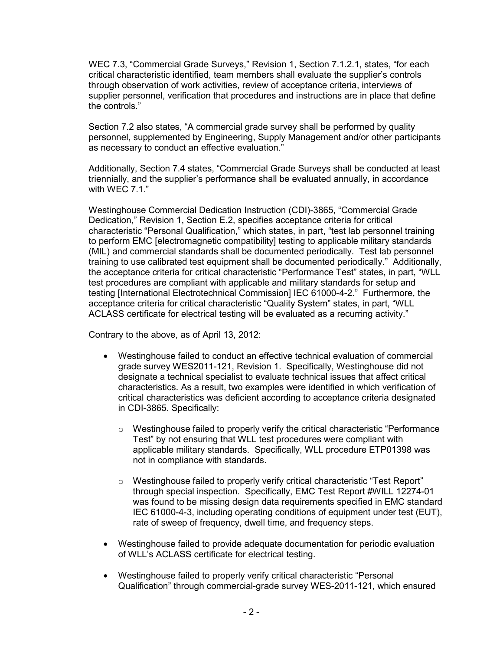WEC 7.3, "Commercial Grade Surveys," Revision 1, Section 7.1.2.1, states, "for each critical characteristic identified, team members shall evaluate the supplier's controls through observation of work activities, review of acceptance criteria, interviews of supplier personnel, verification that procedures and instructions are in place that define the controls."

Section 7.2 also states, "A commercial grade survey shall be performed by quality personnel, supplemented by Engineering, Supply Management and/or other participants as necessary to conduct an effective evaluation."

Additionally, Section 7.4 states, "Commercial Grade Surveys shall be conducted at least triennially, and the supplier's performance shall be evaluated annually, in accordance with WEC 7.1."

Westinghouse Commercial Dedication Instruction (CDI)-3865, "Commercial Grade Dedication," Revision 1, Section E.2, specifies acceptance criteria for critical characteristic "Personal Qualification," which states, in part, "test lab personnel training to perform EMC [electromagnetic compatibility] testing to applicable military standards (MIL) and commercial standards shall be documented periodically. Test lab personnel training to use calibrated test equipment shall be documented periodically." Additionally, the acceptance criteria for critical characteristic "Performance Test" states, in part, "WLL test procedures are compliant with applicable and military standards for setup and testing [International Electrotechnical Commission] IEC 61000-4-2." Furthermore, the acceptance criteria for critical characteristic "Quality System" states, in part, "WLL ACLASS certificate for electrical testing will be evaluated as a recurring activity."

Contrary to the above, as of April 13, 2012:

- Westinghouse failed to conduct an effective technical evaluation of commercial grade survey WES2011-121, Revision 1. Specifically, Westinghouse did not designate a technical specialist to evaluate technical issues that affect critical characteristics. As a result, two examples were identified in which verification of critical characteristics was deficient according to acceptance criteria designated in CDI-3865. Specifically:
	- $\circ$  Westinghouse failed to properly verify the critical characteristic "Performance" Test" by not ensuring that WLL test procedures were compliant with applicable military standards. Specifically, WLL procedure ETP01398 was not in compliance with standards.
	- o Westinghouse failed to properly verify critical characteristic "Test Report" through special inspection. Specifically, EMC Test Report #WILL 12274-01 was found to be missing design data requirements specified in EMC standard IEC 61000-4-3, including operating conditions of equipment under test (EUT), rate of sweep of frequency, dwell time, and frequency steps.
- Westinghouse failed to provide adequate documentation for periodic evaluation of WLL's ACLASS certificate for electrical testing.
- Westinghouse failed to properly verify critical characteristic "Personal Qualification" through commercial-grade survey WES-2011-121, which ensured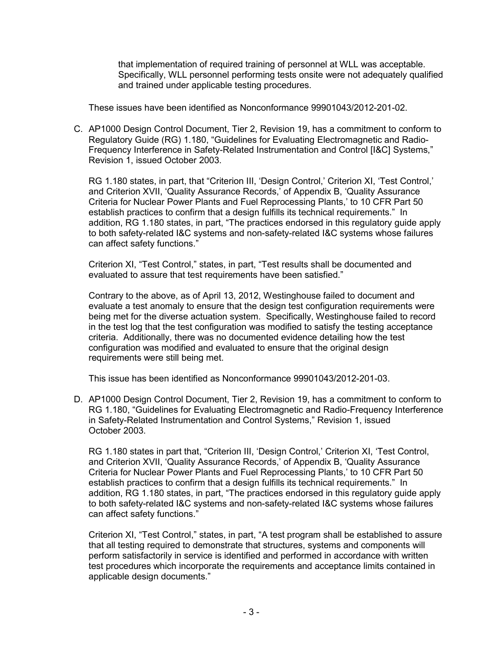that implementation of required training of personnel at WLL was acceptable. Specifically, WLL personnel performing tests onsite were not adequately qualified and trained under applicable testing procedures.

These issues have been identified as Nonconformance 99901043/2012-201-02.

C. AP1000 Design Control Document, Tier 2, Revision 19, has a commitment to conform to Regulatory Guide (RG) 1.180, "Guidelines for Evaluating Electromagnetic and Radio-Frequency Interference in Safety-Related Instrumentation and Control [I&C] Systems," Revision 1, issued October 2003.

RG 1.180 states, in part, that "Criterion III, 'Design Control,' Criterion XI, 'Test Control,' and Criterion XVII, 'Quality Assurance Records,' of Appendix B, 'Quality Assurance Criteria for Nuclear Power Plants and Fuel Reprocessing Plants,' to 10 CFR Part 50 establish practices to confirm that a design fulfills its technical requirements." In addition, RG 1.180 states, in part, "The practices endorsed in this regulatory guide apply to both safety-related I&C systems and non-safety-related I&C systems whose failures can affect safety functions."

Criterion XI, "Test Control," states, in part, "Test results shall be documented and evaluated to assure that test requirements have been satisfied."

Contrary to the above, as of April 13, 2012, Westinghouse failed to document and evaluate a test anomaly to ensure that the design test configuration requirements were being met for the diverse actuation system. Specifically, Westinghouse failed to record in the test log that the test configuration was modified to satisfy the testing acceptance criteria. Additionally, there was no documented evidence detailing how the test configuration was modified and evaluated to ensure that the original design requirements were still being met.

This issue has been identified as Nonconformance 99901043/2012-201-03.

D. AP1000 Design Control Document, Tier 2, Revision 19, has a commitment to conform to RG 1.180, "Guidelines for Evaluating Electromagnetic and Radio-Frequency Interference in Safety-Related Instrumentation and Control Systems," Revision 1, issued October 2003.

RG 1.180 states in part that, "Criterion III, 'Design Control,' Criterion XI, 'Test Control, and Criterion XVII, 'Quality Assurance Records,' of Appendix B, 'Quality Assurance Criteria for Nuclear Power Plants and Fuel Reprocessing Plants,' to 10 CFR Part 50 establish practices to confirm that a design fulfills its technical requirements." In addition, RG 1.180 states, in part, "The practices endorsed in this regulatory guide apply to both safety-related I&C systems and non-safety-related I&C systems whose failures can affect safety functions."

Criterion XI, "Test Control," states, in part, "A test program shall be established to assure that all testing required to demonstrate that structures, systems and components will perform satisfactorily in service is identified and performed in accordance with written test procedures which incorporate the requirements and acceptance limits contained in applicable design documents."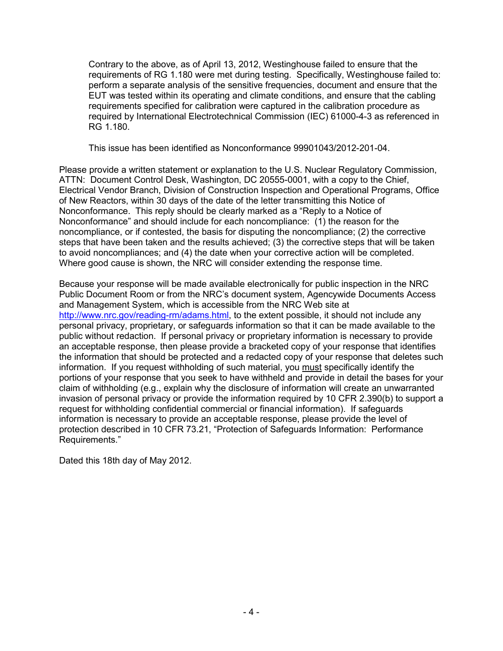Contrary to the above, as of April 13, 2012, Westinghouse failed to ensure that the requirements of RG 1.180 were met during testing. Specifically, Westinghouse failed to: perform a separate analysis of the sensitive frequencies, document and ensure that the EUT was tested within its operating and climate conditions, and ensure that the cabling requirements specified for calibration were captured in the calibration procedure as required by International Electrotechnical Commission (IEC) 61000-4-3 as referenced in RG 1.180.

This issue has been identified as Nonconformance 99901043/2012-201-04.

Please provide a written statement or explanation to the U.S. Nuclear Regulatory Commission, ATTN: Document Control Desk, Washington, DC 20555-0001, with a copy to the Chief, Electrical Vendor Branch, Division of Construction Inspection and Operational Programs, Office of New Reactors, within 30 days of the date of the letter transmitting this Notice of Nonconformance. This reply should be clearly marked as a "Reply to a Notice of Nonconformance" and should include for each noncompliance: (1) the reason for the noncompliance, or if contested, the basis for disputing the noncompliance; (2) the corrective steps that have been taken and the results achieved; (3) the corrective steps that will be taken to avoid noncompliances; and (4) the date when your corrective action will be completed. Where good cause is shown, the NRC will consider extending the response time.

Because your response will be made available electronically for public inspection in the NRC Public Document Room or from the NRC's document system, Agencywide Documents Access and Management System, which is accessible from the NRC Web site at http://www.nrc.gov/reading-rm/adams.html, to the extent possible, it should not include any personal privacy, proprietary, or safeguards information so that it can be made available to the public without redaction. If personal privacy or proprietary information is necessary to provide an acceptable response, then please provide a bracketed copy of your response that identifies the information that should be protected and a redacted copy of your response that deletes such information. If you request withholding of such material, you must specifically identify the portions of your response that you seek to have withheld and provide in detail the bases for your claim of withholding (e.g., explain why the disclosure of information will create an unwarranted invasion of personal privacy or provide the information required by 10 CFR 2.390(b) to support a request for withholding confidential commercial or financial information). If safeguards information is necessary to provide an acceptable response, please provide the level of protection described in 10 CFR 73.21, "Protection of Safeguards Information: Performance Requirements."

Dated this 18th day of May 2012.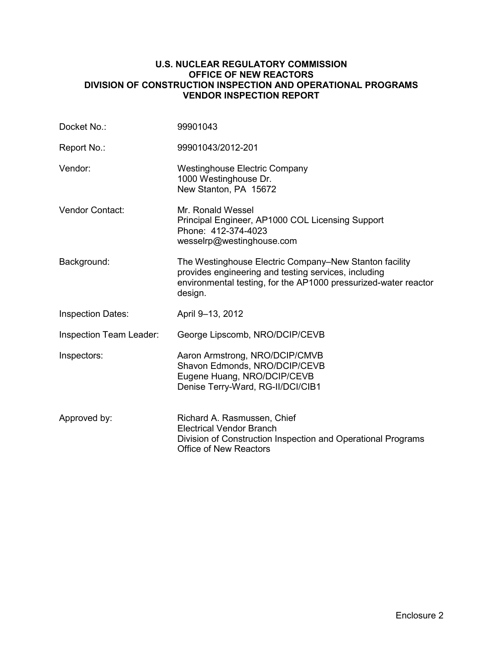# **U.S. NUCLEAR REGULATORY COMMISSION OFFICE OF NEW REACTORS DIVISION OF CONSTRUCTION INSPECTION AND OPERATIONAL PROGRAMS VENDOR INSPECTION REPORT**

| Docket No.:              | 99901043                                                                                                                                                                                     |
|--------------------------|----------------------------------------------------------------------------------------------------------------------------------------------------------------------------------------------|
| Report No.:              | 99901043/2012-201                                                                                                                                                                            |
| Vendor:                  | <b>Westinghouse Electric Company</b><br>1000 Westinghouse Dr.<br>New Stanton, PA 15672                                                                                                       |
| <b>Vendor Contact:</b>   | Mr. Ronald Wessel<br>Principal Engineer, AP1000 COL Licensing Support<br>Phone: 412-374-4023<br>wesselrp@westinghouse.com                                                                    |
| Background:              | The Westinghouse Electric Company–New Stanton facility<br>provides engineering and testing services, including<br>environmental testing, for the AP1000 pressurized-water reactor<br>design. |
| <b>Inspection Dates:</b> | April 9-13, 2012                                                                                                                                                                             |
| Inspection Team Leader:  | George Lipscomb, NRO/DCIP/CEVB                                                                                                                                                               |
| Inspectors:              | Aaron Armstrong, NRO/DCIP/CMVB<br>Shavon Edmonds, NRO/DCIP/CEVB<br>Eugene Huang, NRO/DCIP/CEVB<br>Denise Terry-Ward, RG-II/DCI/CIB1                                                          |
| Approved by:             | Richard A. Rasmussen, Chief<br><b>Electrical Vendor Branch</b><br>Division of Construction Inspection and Operational Programs<br><b>Office of New Reactors</b>                              |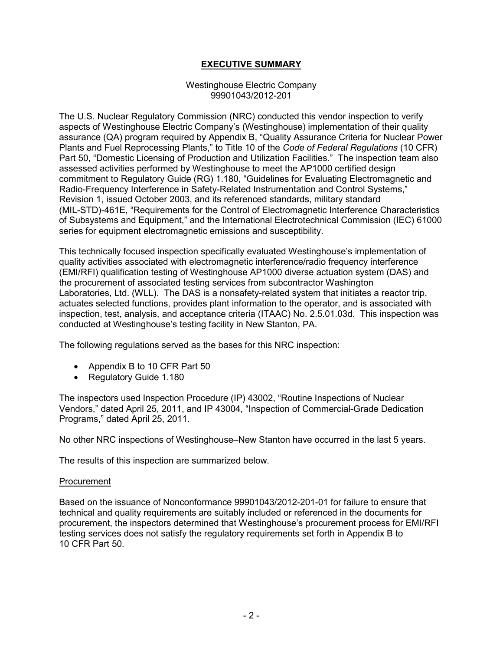# **EXECUTIVE SUMMARY**

#### Westinghouse Electric Company 99901043/2012-201

The U.S. Nuclear Regulatory Commission (NRC) conducted this vendor inspection to verify aspects of Westinghouse Electric Company's (Westinghouse) implementation of their quality assurance (QA) program required by Appendix B, "Quality Assurance Criteria for Nuclear Power Plants and Fuel Reprocessing Plants," to Title 10 of the *Code of Federal Regulations* (10 CFR) Part 50, "Domestic Licensing of Production and Utilization Facilities." The inspection team also assessed activities performed by Westinghouse to meet the AP1000 certified design commitment to Regulatory Guide (RG) 1.180, "Guidelines for Evaluating Electromagnetic and Radio-Frequency Interference in Safety-Related Instrumentation and Control Systems," Revision 1, issued October 2003, and its referenced standards, military standard (MIL-STD)-461E, "Requirements for the Control of Electromagnetic Interference Characteristics of Subsystems and Equipment," and the International Electrotechnical Commission (IEC) 61000 series for equipment electromagnetic emissions and susceptibility.

This technically focused inspection specifically evaluated Westinghouse's implementation of quality activities associated with electromagnetic interference/radio frequency interference (EMI/RFI) qualification testing of Westinghouse AP1000 diverse actuation system (DAS) and the procurement of associated testing services from subcontractor Washington Laboratories, Ltd. (WLL). The DAS is a nonsafety-related system that initiates a reactor trip, actuates selected functions, provides plant information to the operator, and is associated with inspection, test, analysis, and acceptance criteria (ITAAC) No. 2.5.01.03d. This inspection was conducted at Westinghouse's testing facility in New Stanton, PA.

The following regulations served as the bases for this NRC inspection:

- Appendix B to 10 CFR Part 50
- Regulatory Guide 1.180

The inspectors used Inspection Procedure (IP) 43002, "Routine Inspections of Nuclear Vendors," dated April 25, 2011, and IP 43004, "Inspection of Commercial-Grade Dedication Programs," dated April 25, 2011.

No other NRC inspections of Westinghouse–New Stanton have occurred in the last 5 years.

The results of this inspection are summarized below.

#### Procurement

Based on the issuance of Nonconformance 99901043/2012-201-01 for failure to ensure that technical and quality requirements are suitably included or referenced in the documents for procurement, the inspectors determined that Westinghouse's procurement process for EMI/RFI testing services does not satisfy the regulatory requirements set forth in Appendix B to 10 CFR Part 50.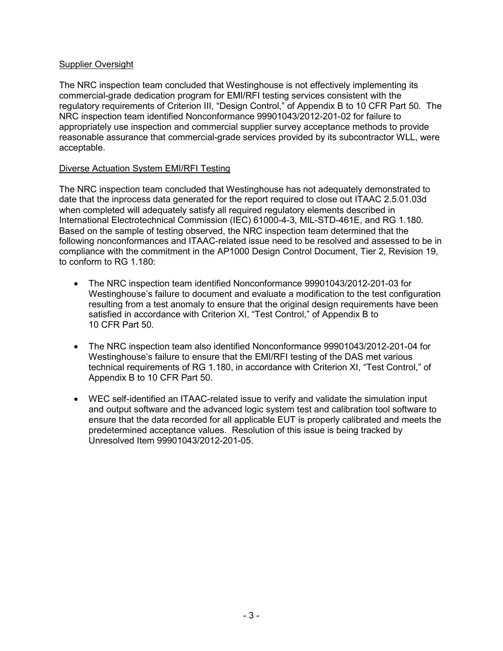# Supplier Oversight

The NRC inspection team concluded that Westinghouse is not effectively implementing its commercial-grade dedication program for EMI/RFI testing services consistent with the regulatory requirements of Criterion III, "Design Control," of Appendix B to 10 CFR Part 50. The NRC inspection team identified Nonconformance 99901043/2012-201-02 for failure to appropriately use inspection and commercial supplier survey acceptance methods to provide reasonable assurance that commercial-grade services provided by its subcontractor WLL, were acceptable.

# Diverse Actuation System EMI/RFI Testing

The NRC inspection team concluded that Westinghouse has not adequately demonstrated to date that the inprocess data generated for the report required to close out ITAAC 2.5.01.03d when completed will adequately satisfy all required regulatory elements described in International Electrotechnical Commission (IEC) 61000-4-3, MIL-STD-461E, and RG 1.180. Based on the sample of testing observed, the NRC inspection team determined that the following nonconformances and ITAAC-related issue need to be resolved and assessed to be in compliance with the commitment in the AP1000 Design Control Document, Tier 2, Revision 19, to conform to RG 1.180:

- The NRC inspection team identified Nonconformance 99901043/2012-201-03 for Westinghouse's failure to document and evaluate a modification to the test configuration resulting from a test anomaly to ensure that the original design requirements have been satisfied in accordance with Criterion XI, "Test Control," of Appendix B to 10 CFR Part 50.
- The NRC inspection team also identified Nonconformance 99901043/2012-201-04 for Westinghouse's failure to ensure that the EMI/RFI testing of the DAS met various technical requirements of RG 1.180, in accordance with Criterion XI, "Test Control," of Appendix B to 10 CFR Part 50.
- WEC self-identified an ITAAC-related issue to verify and validate the simulation input and output software and the advanced logic system test and calibration tool software to ensure that the data recorded for all applicable EUT is properly calibrated and meets the predetermined acceptance values. Resolution of this issue is being tracked by Unresolved Item 99901043/2012-201-05.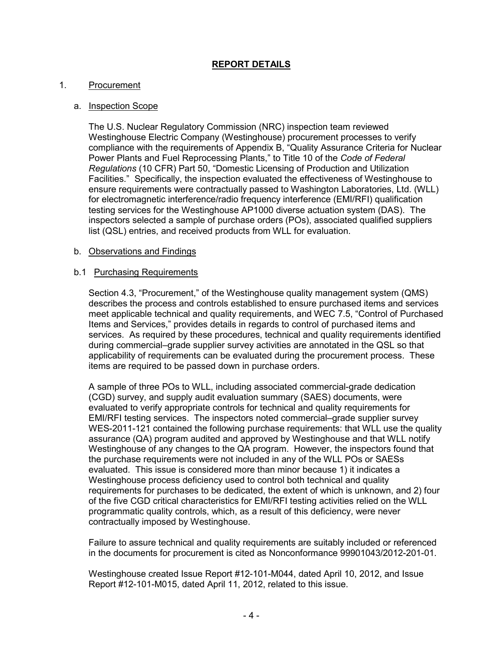# **REPORT DETAILS**

## 1. Procurement

# a. Inspection Scope

The U.S. Nuclear Regulatory Commission (NRC) inspection team reviewed Westinghouse Electric Company (Westinghouse) procurement processes to verify compliance with the requirements of Appendix B, "Quality Assurance Criteria for Nuclear Power Plants and Fuel Reprocessing Plants," to Title 10 of the *Code of Federal Regulations* (10 CFR) Part 50, "Domestic Licensing of Production and Utilization Facilities." Specifically, the inspection evaluated the effectiveness of Westinghouse to ensure requirements were contractually passed to Washington Laboratories, Ltd. (WLL) for electromagnetic interference/radio frequency interference (EMI/RFI) qualification testing services for the Westinghouse AP1000 diverse actuation system (DAS). The inspectors selected a sample of purchase orders (POs), associated qualified suppliers list (QSL) entries, and received products from WLL for evaluation.

#### b. Observations and Findings

#### b.1 Purchasing Requirements

Section 4.3, "Procurement," of the Westinghouse quality management system (QMS) describes the process and controls established to ensure purchased items and services meet applicable technical and quality requirements, and WEC 7.5, "Control of Purchased Items and Services," provides details in regards to control of purchased items and services. As required by these procedures, technical and quality requirements identified during commercial–grade supplier survey activities are annotated in the QSL so that applicability of requirements can be evaluated during the procurement process. These items are required to be passed down in purchase orders.

A sample of three POs to WLL, including associated commercial-grade dedication (CGD) survey, and supply audit evaluation summary (SAES) documents, were evaluated to verify appropriate controls for technical and quality requirements for EMI/RFI testing services. The inspectors noted commercial–grade supplier survey WES-2011-121 contained the following purchase requirements: that WLL use the quality assurance (QA) program audited and approved by Westinghouse and that WLL notify Westinghouse of any changes to the QA program. However, the inspectors found that the purchase requirements were not included in any of the WLL POs or SAESs evaluated. This issue is considered more than minor because 1) it indicates a Westinghouse process deficiency used to control both technical and quality requirements for purchases to be dedicated, the extent of which is unknown, and 2) four of the five CGD critical characteristics for EMI/RFI testing activities relied on the WLL programmatic quality controls, which, as a result of this deficiency, were never contractually imposed by Westinghouse.

Failure to assure technical and quality requirements are suitably included or referenced in the documents for procurement is cited as Nonconformance 99901043/2012-201-01.

Westinghouse created Issue Report #12-101-M044, dated April 10, 2012, and Issue Report #12-101-M015, dated April 11, 2012, related to this issue.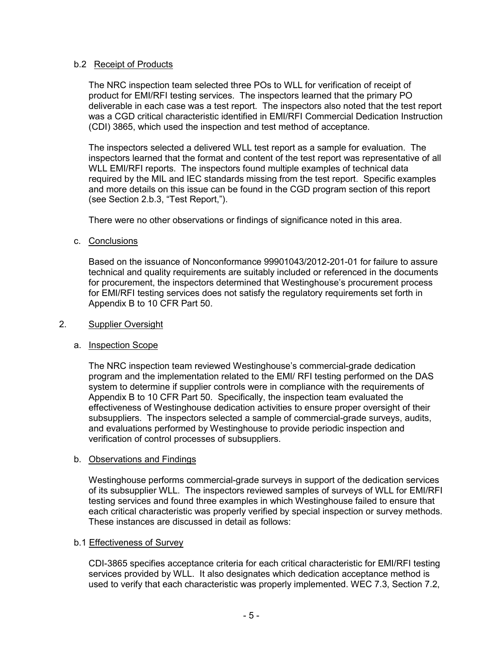# b.2 Receipt of Products

The NRC inspection team selected three POs to WLL for verification of receipt of product for EMI/RFI testing services. The inspectors learned that the primary PO deliverable in each case was a test report. The inspectors also noted that the test report was a CGD critical characteristic identified in EMI/RFI Commercial Dedication Instruction (CDI) 3865, which used the inspection and test method of acceptance.

The inspectors selected a delivered WLL test report as a sample for evaluation. The inspectors learned that the format and content of the test report was representative of all WLL EMI/RFI reports. The inspectors found multiple examples of technical data required by the MIL and IEC standards missing from the test report. Specific examples and more details on this issue can be found in the CGD program section of this report (see Section 2.b.3, "Test Report,").

There were no other observations or findings of significance noted in this area.

# c. Conclusions

Based on the issuance of Nonconformance 99901043/2012-201-01 for failure to assure technical and quality requirements are suitably included or referenced in the documents for procurement, the inspectors determined that Westinghouse's procurement process for EMI/RFI testing services does not satisfy the regulatory requirements set forth in Appendix B to 10 CFR Part 50.

#### 2. Supplier Oversight

# a. Inspection Scope

The NRC inspection team reviewed Westinghouse's commercial-grade dedication program and the implementation related to the EMI/ RFI testing performed on the DAS system to determine if supplier controls were in compliance with the requirements of Appendix B to 10 CFR Part 50. Specifically, the inspection team evaluated the effectiveness of Westinghouse dedication activities to ensure proper oversight of their subsuppliers. The inspectors selected a sample of commercial-grade surveys, audits, and evaluations performed by Westinghouse to provide periodic inspection and verification of control processes of subsuppliers.

#### b. Observations and Findings

Westinghouse performs commercial-grade surveys in support of the dedication services of its subsupplier WLL. The inspectors reviewed samples of surveys of WLL for EMI/RFI testing services and found three examples in which Westinghouse failed to ensure that each critical characteristic was properly verified by special inspection or survey methods. These instances are discussed in detail as follows:

#### b.1 Effectiveness of Survey

CDI-3865 specifies acceptance criteria for each critical characteristic for EMI/RFI testing services provided by WLL. It also designates which dedication acceptance method is used to verify that each characteristic was properly implemented. WEC 7.3, Section 7.2,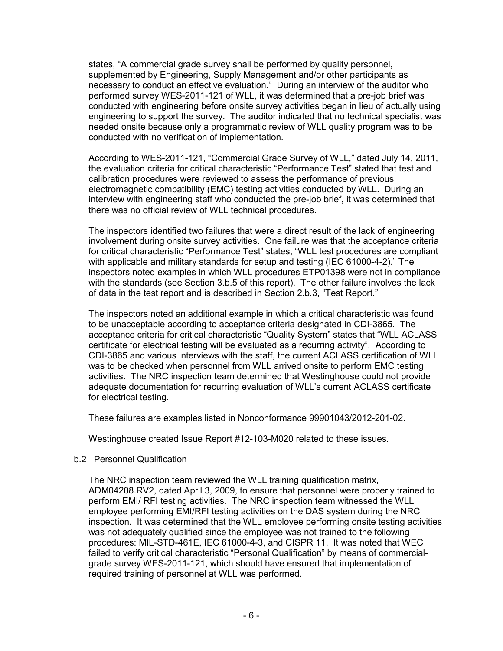states, "A commercial grade survey shall be performed by quality personnel, supplemented by Engineering, Supply Management and/or other participants as necessary to conduct an effective evaluation." During an interview of the auditor who performed survey WES-2011-121 of WLL, it was determined that a pre-job brief was conducted with engineering before onsite survey activities began in lieu of actually using engineering to support the survey. The auditor indicated that no technical specialist was needed onsite because only a programmatic review of WLL quality program was to be conducted with no verification of implementation.

According to WES-2011-121, "Commercial Grade Survey of WLL," dated July 14, 2011, the evaluation criteria for critical characteristic "Performance Test" stated that test and calibration procedures were reviewed to assess the performance of previous electromagnetic compatibility (EMC) testing activities conducted by WLL. During an interview with engineering staff who conducted the pre-job brief, it was determined that there was no official review of WLL technical procedures.

The inspectors identified two failures that were a direct result of the lack of engineering involvement during onsite survey activities. One failure was that the acceptance criteria for critical characteristic "Performance Test" states, "WLL test procedures are compliant with applicable and military standards for setup and testing (IEC 61000-4-2)." The inspectors noted examples in which WLL procedures ETP01398 were not in compliance with the standards (see Section 3.b.5 of this report). The other failure involves the lack of data in the test report and is described in Section 2.b.3, "Test Report."

The inspectors noted an additional example in which a critical characteristic was found to be unacceptable according to acceptance criteria designated in CDI-3865. The acceptance criteria for critical characteristic "Quality System" states that "WLL ACLASS certificate for electrical testing will be evaluated as a recurring activity". According to CDI-3865 and various interviews with the staff, the current ACLASS certification of WLL was to be checked when personnel from WLL arrived onsite to perform EMC testing activities. The NRC inspection team determined that Westinghouse could not provide adequate documentation for recurring evaluation of WLL's current ACLASS certificate for electrical testing.

These failures are examples listed in Nonconformance 99901043/2012-201-02.

Westinghouse created Issue Report #12-103-M020 related to these issues.

# b.2 Personnel Qualification

The NRC inspection team reviewed the WLL training qualification matrix, ADM04208.RV2, dated April 3, 2009, to ensure that personnel were properly trained to perform EMI/ RFI testing activities. The NRC inspection team witnessed the WLL employee performing EMI/RFI testing activities on the DAS system during the NRC inspection. It was determined that the WLL employee performing onsite testing activities was not adequately qualified since the employee was not trained to the following procedures: MIL-STD-461E, IEC 61000-4-3, and CISPR 11. It was noted that WEC failed to verify critical characteristic "Personal Qualification" by means of commercialgrade survey WES-2011-121, which should have ensured that implementation of required training of personnel at WLL was performed.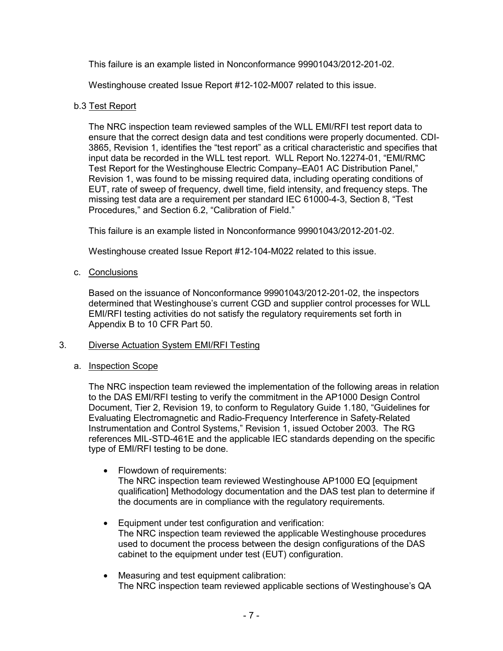This failure is an example listed in Nonconformance 99901043/2012-201-02.

Westinghouse created Issue Report #12-102-M007 related to this issue.

# b.3 Test Report

The NRC inspection team reviewed samples of the WLL EMI/RFI test report data to ensure that the correct design data and test conditions were properly documented. CDI-3865, Revision 1, identifies the "test report" as a critical characteristic and specifies that input data be recorded in the WLL test report. WLL Report No.12274-01, "EMI/RMC Test Report for the Westinghouse Electric Company–EA01 AC Distribution Panel," Revision 1, was found to be missing required data, including operating conditions of EUT, rate of sweep of frequency, dwell time, field intensity, and frequency steps. The missing test data are a requirement per standard IEC 61000-4-3, Section 8, "Test Procedures," and Section 6.2, "Calibration of Field."

This failure is an example listed in Nonconformance 99901043/2012-201-02.

Westinghouse created Issue Report #12-104-M022 related to this issue.

c. Conclusions

Based on the issuance of Nonconformance 99901043/2012-201-02, the inspectors determined that Westinghouse's current CGD and supplier control processes for WLL EMI/RFI testing activities do not satisfy the regulatory requirements set forth in Appendix B to 10 CFR Part 50.

# 3. Diverse Actuation System EMI/RFI Testing

# a. Inspection Scope

The NRC inspection team reviewed the implementation of the following areas in relation to the DAS EMI/RFI testing to verify the commitment in the AP1000 Design Control Document, Tier 2, Revision 19, to conform to Regulatory Guide 1.180, "Guidelines for Evaluating Electromagnetic and Radio-Frequency Interference in Safety-Related Instrumentation and Control Systems," Revision 1, issued October 2003. The RG references MIL-STD-461E and the applicable IEC standards depending on the specific type of EMI/RFI testing to be done.

- Flowdown of requirements: The NRC inspection team reviewed Westinghouse AP1000 EQ [equipment qualification] Methodology documentation and the DAS test plan to determine if the documents are in compliance with the regulatory requirements.
- Equipment under test configuration and verification: The NRC inspection team reviewed the applicable Westinghouse procedures used to document the process between the design configurations of the DAS cabinet to the equipment under test (EUT) configuration.
- Measuring and test equipment calibration: The NRC inspection team reviewed applicable sections of Westinghouse's QA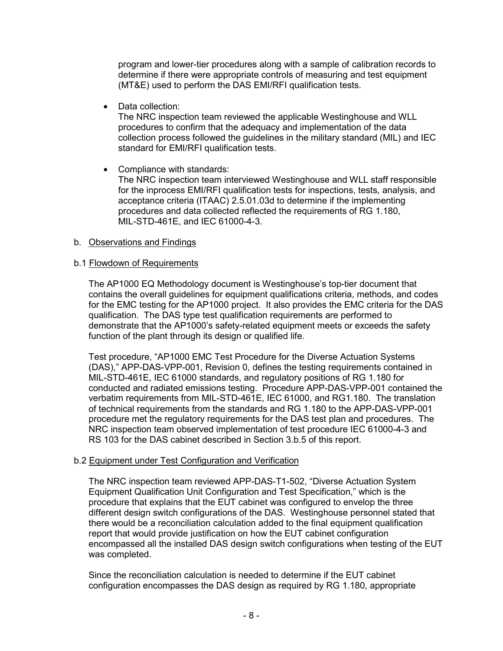program and lower-tier procedures along with a sample of calibration records to determine if there were appropriate controls of measuring and test equipment (MT&E) used to perform the DAS EMI/RFI qualification tests.

• Data collection:

The NRC inspection team reviewed the applicable Westinghouse and WLL procedures to confirm that the adequacy and implementation of the data collection process followed the guidelines in the military standard (MIL) and IEC standard for EMI/RFI qualification tests.

• Compliance with standards: The NRC inspection team interviewed Westinghouse and WLL staff responsible for the inprocess EMI/RFI qualification tests for inspections, tests, analysis, and acceptance criteria (ITAAC) 2.5.01.03d to determine if the implementing procedures and data collected reflected the requirements of RG 1.180, MIL-STD-461E, and IEC 61000-4-3.

# b. Observations and Findings

# b.1 Flowdown of Requirements

The AP1000 EQ Methodology document is Westinghouse's top-tier document that contains the overall guidelines for equipment qualifications criteria, methods, and codes for the EMC testing for the AP1000 project. It also provides the EMC criteria for the DAS qualification. The DAS type test qualification requirements are performed to demonstrate that the AP1000's safety-related equipment meets or exceeds the safety function of the plant through its design or qualified life.

Test procedure, "AP1000 EMC Test Procedure for the Diverse Actuation Systems (DAS)," APP-DAS-VPP-001, Revision 0, defines the testing requirements contained in MIL-STD-461E, IEC 61000 standards, and regulatory positions of RG 1.180 for conducted and radiated emissions testing. Procedure APP-DAS-VPP-001 contained the verbatim requirements from MIL-STD-461E, IEC 61000, and RG1.180. The translation of technical requirements from the standards and RG 1.180 to the APP-DAS-VPP-001 procedure met the regulatory requirements for the DAS test plan and procedures. The NRC inspection team observed implementation of test procedure IEC 61000-4-3 and RS 103 for the DAS cabinet described in Section 3.b.5 of this report.

# b.2 Equipment under Test Configuration and Verification

The NRC inspection team reviewed APP-DAS-T1-502, "Diverse Actuation System Equipment Qualification Unit Configuration and Test Specification," which is the procedure that explains that the EUT cabinet was configured to envelop the three different design switch configurations of the DAS. Westinghouse personnel stated that there would be a reconciliation calculation added to the final equipment qualification report that would provide justification on how the EUT cabinet configuration encompassed all the installed DAS design switch configurations when testing of the EUT was completed.

Since the reconciliation calculation is needed to determine if the EUT cabinet configuration encompasses the DAS design as required by RG 1.180, appropriate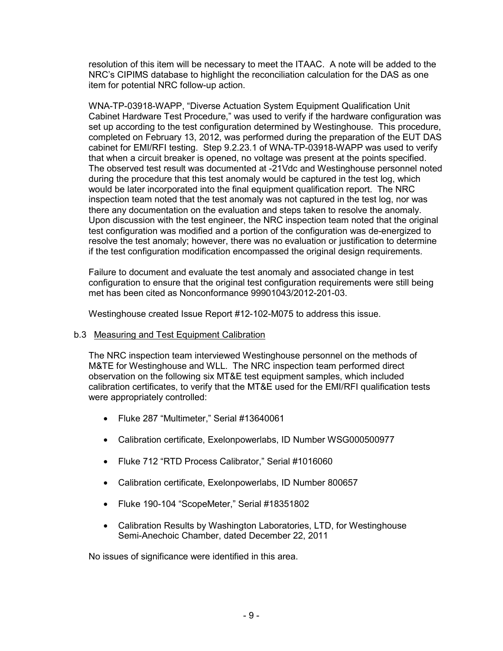resolution of this item will be necessary to meet the ITAAC. A note will be added to the NRC's CIPIMS database to highlight the reconciliation calculation for the DAS as one item for potential NRC follow-up action.

WNA-TP-03918-WAPP, "Diverse Actuation System Equipment Qualification Unit Cabinet Hardware Test Procedure," was used to verify if the hardware configuration was set up according to the test configuration determined by Westinghouse. This procedure, completed on February 13, 2012, was performed during the preparation of the EUT DAS cabinet for EMI/RFI testing. Step 9.2.23.1 of WNA-TP-03918-WAPP was used to verify that when a circuit breaker is opened, no voltage was present at the points specified. The observed test result was documented at -21Vdc and Westinghouse personnel noted during the procedure that this test anomaly would be captured in the test log, which would be later incorporated into the final equipment qualification report. The NRC inspection team noted that the test anomaly was not captured in the test log, nor was there any documentation on the evaluation and steps taken to resolve the anomaly. Upon discussion with the test engineer, the NRC inspection team noted that the original test configuration was modified and a portion of the configuration was de-energized to resolve the test anomaly; however, there was no evaluation or justification to determine if the test configuration modification encompassed the original design requirements.

Failure to document and evaluate the test anomaly and associated change in test configuration to ensure that the original test configuration requirements were still being met has been cited as Nonconformance 99901043/2012-201-03.

Westinghouse created Issue Report #12-102-M075 to address this issue.

# b.3 Measuring and Test Equipment Calibration

The NRC inspection team interviewed Westinghouse personnel on the methods of M&TE for Westinghouse and WLL. The NRC inspection team performed direct observation on the following six MT&E test equipment samples, which included calibration certificates, to verify that the MT&E used for the EMI/RFI qualification tests were appropriately controlled:

- Fluke 287 "Multimeter," Serial #13640061
- Calibration certificate, Exelonpowerlabs, ID Number WSG000500977
- Fluke 712 "RTD Process Calibrator," Serial #1016060
- Calibration certificate, Exelonpowerlabs, ID Number 800657
- Fluke 190-104 "ScopeMeter," Serial #18351802
- Calibration Results by Washington Laboratories, LTD, for Westinghouse Semi-Anechoic Chamber, dated December 22, 2011

No issues of significance were identified in this area.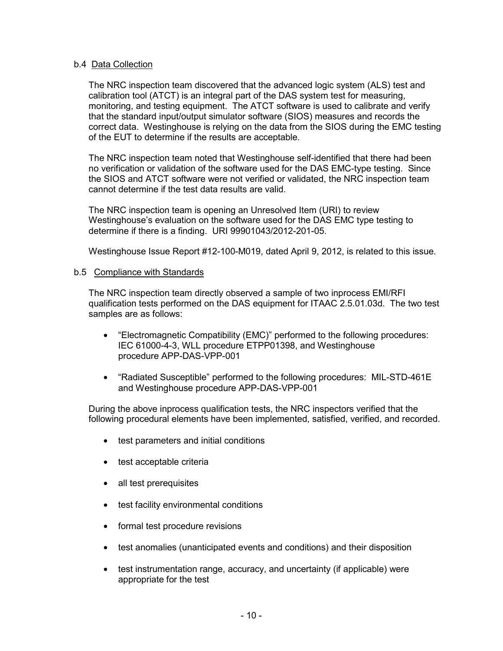# b.4 Data Collection

The NRC inspection team discovered that the advanced logic system (ALS) test and calibration tool (ATCT) is an integral part of the DAS system test for measuring, monitoring, and testing equipment. The ATCT software is used to calibrate and verify that the standard input/output simulator software (SIOS) measures and records the correct data. Westinghouse is relying on the data from the SIOS during the EMC testing of the EUT to determine if the results are acceptable.

The NRC inspection team noted that Westinghouse self-identified that there had been no verification or validation of the software used for the DAS EMC-type testing. Since the SIOS and ATCT software were not verified or validated, the NRC inspection team cannot determine if the test data results are valid.

The NRC inspection team is opening an Unresolved Item (URI) to review Westinghouse's evaluation on the software used for the DAS EMC type testing to determine if there is a finding. URI 99901043/2012-201-05.

Westinghouse Issue Report #12-100-M019, dated April 9, 2012, is related to this issue.

# b.5 Compliance with Standards

The NRC inspection team directly observed a sample of two inprocess EMI/RFI qualification tests performed on the DAS equipment for ITAAC 2.5.01.03d. The two test samples are as follows:

- "Electromagnetic Compatibility (EMC)" performed to the following procedures: IEC 61000-4-3, WLL procedure ETPP01398, and Westinghouse procedure APP-DAS-VPP-001
- "Radiated Susceptible" performed to the following procedures: MIL-STD-461E and Westinghouse procedure APP-DAS-VPP-001

During the above inprocess qualification tests, the NRC inspectors verified that the following procedural elements have been implemented, satisfied, verified, and recorded.

- test parameters and initial conditions
- test acceptable criteria
- all test prerequisites
- test facility environmental conditions
- formal test procedure revisions
- test anomalies (unanticipated events and conditions) and their disposition
- test instrumentation range, accuracy, and uncertainty (if applicable) were appropriate for the test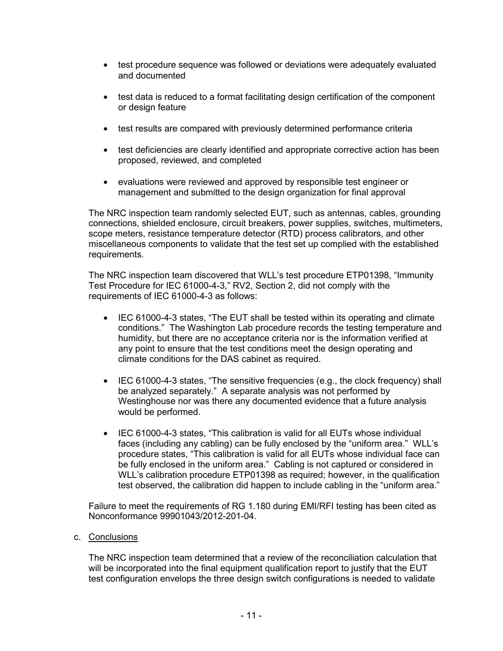- test procedure sequence was followed or deviations were adequately evaluated and documented
- test data is reduced to a format facilitating design certification of the component or design feature
- test results are compared with previously determined performance criteria
- test deficiencies are clearly identified and appropriate corrective action has been proposed, reviewed, and completed
- evaluations were reviewed and approved by responsible test engineer or management and submitted to the design organization for final approval

The NRC inspection team randomly selected EUT, such as antennas, cables, grounding connections, shielded enclosure, circuit breakers, power supplies, switches, multimeters, scope meters, resistance temperature detector (RTD) process calibrators, and other miscellaneous components to validate that the test set up complied with the established requirements.

The NRC inspection team discovered that WLL's test procedure ETP01398, "Immunity Test Procedure for IEC 61000-4-3," RV2, Section 2, did not comply with the requirements of IEC 61000-4-3 as follows:

- IEC 61000-4-3 states, "The EUT shall be tested within its operating and climate conditions." The Washington Lab procedure records the testing temperature and humidity, but there are no acceptance criteria nor is the information verified at any point to ensure that the test conditions meet the design operating and climate conditions for the DAS cabinet as required.
- IEC 61000-4-3 states, "The sensitive frequencies (e.g., the clock frequency) shall be analyzed separately." A separate analysis was not performed by Westinghouse nor was there any documented evidence that a future analysis would be performed.
- IEC 61000-4-3 states, "This calibration is valid for all EUTs whose individual faces (including any cabling) can be fully enclosed by the "uniform area." WLL's procedure states, "This calibration is valid for all EUTs whose individual face can be fully enclosed in the uniform area." Cabling is not captured or considered in WLL's calibration procedure ETP01398 as required; however, in the qualification test observed, the calibration did happen to include cabling in the "uniform area."

Failure to meet the requirements of RG 1.180 during EMI/RFI testing has been cited as Nonconformance 99901043/2012-201-04.

c. Conclusions

The NRC inspection team determined that a review of the reconciliation calculation that will be incorporated into the final equipment qualification report to justify that the EUT test configuration envelops the three design switch configurations is needed to validate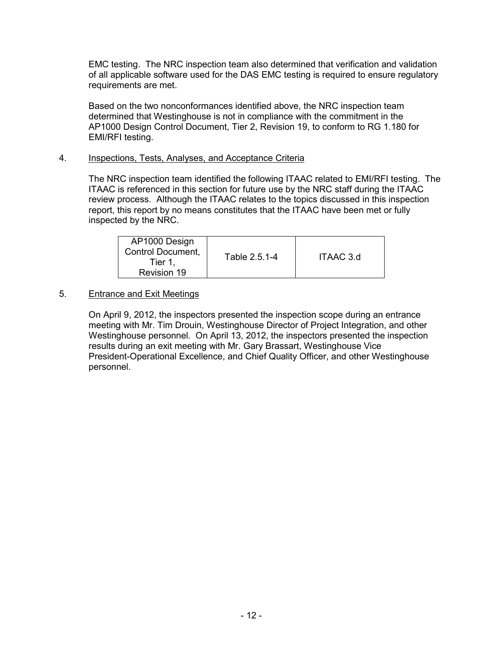EMC testing. The NRC inspection team also determined that verification and validation of all applicable software used for the DAS EMC testing is required to ensure regulatory requirements are met.

Based on the two nonconformances identified above, the NRC inspection team determined that Westinghouse is not in compliance with the commitment in the AP1000 Design Control Document, Tier 2, Revision 19, to conform to RG 1.180 for EMI/RFI testing.

# 4. Inspections, Tests, Analyses, and Acceptance Criteria

The NRC inspection team identified the following ITAAC related to EMI/RFI testing. The ITAAC is referenced in this section for future use by the NRC staff during the ITAAC review process. Although the ITAAC relates to the topics discussed in this inspection report, this report by no means constitutes that the ITAAC have been met or fully inspected by the NRC.

| AP1000 Design<br>Control Document,<br>Tier 1.<br>Revision 19 | Table 2.5.1-4 | ITAAC 3.d |
|--------------------------------------------------------------|---------------|-----------|
|--------------------------------------------------------------|---------------|-----------|

# 5. Entrance and Exit Meetings

On April 9, 2012, the inspectors presented the inspection scope during an entrance meeting with Mr. Tim Drouin, Westinghouse Director of Project Integration, and other Westinghouse personnel. On April 13, 2012, the inspectors presented the inspection results during an exit meeting with Mr. Gary Brassart, Westinghouse Vice President-Operational Excellence, and Chief Quality Officer, and other Westinghouse personnel.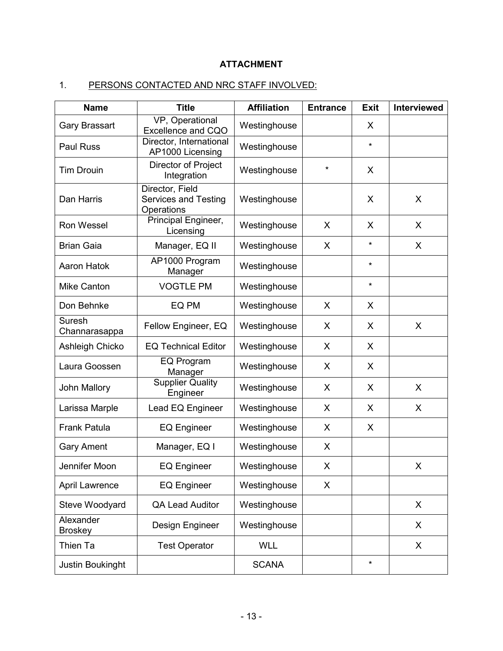# **ATTACHMENT**

# 1. PERSONS CONTACTED AND NRC STAFF INVOLVED:

| <b>Name</b>                 | <b>Title</b>                                                 | <b>Affiliation</b> | <b>Entrance</b> | <b>Exit</b> | <b>Interviewed</b> |
|-----------------------------|--------------------------------------------------------------|--------------------|-----------------|-------------|--------------------|
| <b>Gary Brassart</b>        | VP, Operational<br>Excellence and CQO                        | Westinghouse       |                 | X           |                    |
| <b>Paul Russ</b>            | Director, International<br>AP1000 Licensing                  | Westinghouse       |                 | $\star$     |                    |
| <b>Tim Drouin</b>           | Director of Project<br>Integration                           | Westinghouse       | $\star$         | X           |                    |
| Dan Harris                  | Director, Field<br><b>Services and Testing</b><br>Operations | Westinghouse       |                 | X           | X                  |
| <b>Ron Wessel</b>           | Principal Engineer,<br>Licensing                             | Westinghouse       | X               | X           | X                  |
| <b>Brian Gaia</b>           | Manager, EQ II                                               | Westinghouse       | X               | $\star$     | X                  |
| <b>Aaron Hatok</b>          | AP1000 Program<br>Manager                                    | Westinghouse       |                 | $\star$     |                    |
| <b>Mike Canton</b>          | <b>VOGTLE PM</b>                                             | Westinghouse       |                 | $\star$     |                    |
| Don Behnke                  | EQ PM                                                        | Westinghouse       | X               | X           |                    |
| Suresh<br>Channarasappa     | Fellow Engineer, EQ                                          | Westinghouse       | X               | X           | X                  |
| Ashleigh Chicko             | <b>EQ Technical Editor</b>                                   | Westinghouse       | X               | X           |                    |
| Laura Goossen               | EQ Program<br>Manager                                        | Westinghouse       | X               | X           |                    |
| John Mallory                | <b>Supplier Quality</b><br>Engineer                          | Westinghouse       | X               | X           | X                  |
| Larissa Marple              | Lead EQ Engineer                                             | Westinghouse       | X               | X           | X                  |
| <b>Frank Patula</b>         | <b>EQ Engineer</b>                                           | Westinghouse       | X               | X           |                    |
| <b>Gary Ament</b>           | Manager, EQ I                                                | Westinghouse       | X               |             |                    |
| Jennifer Moon               | <b>EQ Engineer</b>                                           | Westinghouse       | X               |             | X.                 |
| April Lawrence              | <b>EQ Engineer</b>                                           | Westinghouse       | X               |             |                    |
| Steve Woodyard              | <b>QA Lead Auditor</b>                                       | Westinghouse       |                 |             | X                  |
| Alexander<br><b>Broskey</b> | Design Engineer                                              | Westinghouse       |                 |             | X                  |
| Thien Ta                    | <b>Test Operator</b>                                         | <b>WLL</b>         |                 |             | X                  |
| Justin Boukinght            |                                                              | <b>SCANA</b>       |                 | $\star$     |                    |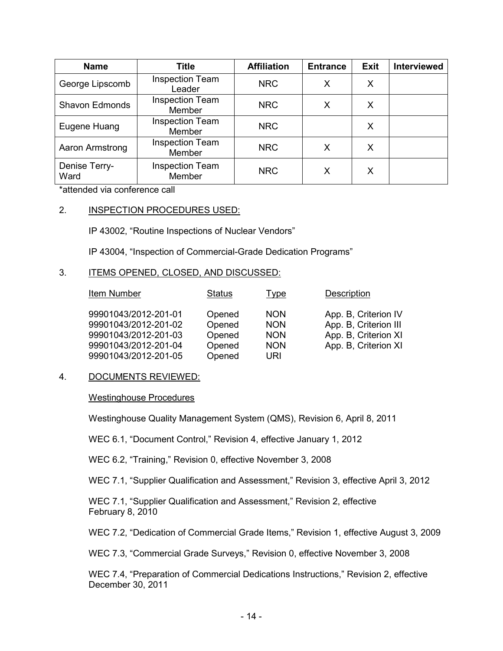| <b>Name</b>           | <b>Title</b>                            | <b>Affiliation</b> | <b>Entrance</b> | <b>Exit</b> | <b>Interviewed</b> |
|-----------------------|-----------------------------------------|--------------------|-----------------|-------------|--------------------|
| George Lipscomb       | <b>Inspection Team</b><br>Leader        | <b>NRC</b>         | Х               | X           |                    |
| <b>Shavon Edmonds</b> | <b>Inspection Team</b><br><b>Member</b> | <b>NRC</b>         | х               | X           |                    |
| Eugene Huang          | <b>Inspection Team</b><br>Member        | <b>NRC</b>         |                 | X           |                    |
| Aaron Armstrong       | <b>Inspection Team</b><br>Member        | <b>NRC</b>         | X               | X           |                    |
| Denise Terry-<br>Ward | <b>Inspection Team</b><br>Member        | <b>NRC</b>         | X               | X           |                    |

\*attended via conference call

# 2. INSPECTION PROCEDURES USED:

IP 43002, "Routine Inspections of Nuclear Vendors"

IP 43004, "Inspection of Commercial-Grade Dedication Programs"

#### 3. ITEMS OPENED, CLOSED, AND DISCUSSED:

| Item Number          | <b>Status</b> | Type       | <b>Description</b>    |
|----------------------|---------------|------------|-----------------------|
| 99901043/2012-201-01 | Opened        | <b>NON</b> | App. B, Criterion IV  |
| 99901043/2012-201-02 | Opened        | <b>NON</b> | App. B, Criterion III |
| 99901043/2012-201-03 | Opened        | <b>NON</b> | App. B, Criterion XI  |
| 99901043/2012-201-04 | Opened        | <b>NON</b> | App. B, Criterion XI  |
| 99901043/2012-201-05 | Opened        | URI        |                       |

#### 4. DOCUMENTS REVIEWED:

#### Westinghouse Procedures

Westinghouse Quality Management System (QMS), Revision 6, April 8, 2011

WEC 6.1, "Document Control," Revision 4, effective January 1, 2012

WEC 6.2, "Training," Revision 0, effective November 3, 2008

WEC 7.1, "Supplier Qualification and Assessment," Revision 3, effective April 3, 2012

WEC 7.1, "Supplier Qualification and Assessment," Revision 2, effective February 8, 2010

WEC 7.2, "Dedication of Commercial Grade Items," Revision 1, effective August 3, 2009

WEC 7.3, "Commercial Grade Surveys," Revision 0, effective November 3, 2008

WEC 7.4, "Preparation of Commercial Dedications Instructions," Revision 2, effective December 30, 2011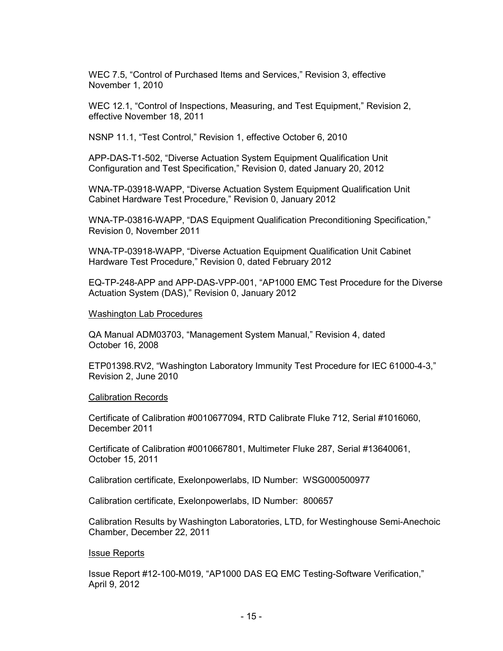WEC 7.5, "Control of Purchased Items and Services," Revision 3, effective November 1, 2010

WEC 12.1, "Control of Inspections, Measuring, and Test Equipment," Revision 2, effective November 18, 2011

NSNP 11.1, "Test Control," Revision 1, effective October 6, 2010

APP-DAS-T1-502, "Diverse Actuation System Equipment Qualification Unit Configuration and Test Specification," Revision 0, dated January 20, 2012

WNA-TP-03918-WAPP, "Diverse Actuation System Equipment Qualification Unit Cabinet Hardware Test Procedure," Revision 0, January 2012

WNA-TP-03816-WAPP, "DAS Equipment Qualification Preconditioning Specification," Revision 0, November 2011

WNA-TP-03918-WAPP, "Diverse Actuation Equipment Qualification Unit Cabinet Hardware Test Procedure," Revision 0, dated February 2012

EQ-TP-248-APP and APP-DAS-VPP-001, "AP1000 EMC Test Procedure for the Diverse Actuation System (DAS)," Revision 0, January 2012

#### Washington Lab Procedures

QA Manual ADM03703, "Management System Manual," Revision 4, dated October 16, 2008

ETP01398.RV2, "Washington Laboratory Immunity Test Procedure for IEC 61000-4-3," Revision 2, June 2010

#### Calibration Records

Certificate of Calibration #0010677094, RTD Calibrate Fluke 712, Serial #1016060, December 2011

Certificate of Calibration #0010667801, Multimeter Fluke 287, Serial #13640061, October 15, 2011

Calibration certificate, Exelonpowerlabs, ID Number: WSG000500977

Calibration certificate, Exelonpowerlabs, ID Number: 800657

Calibration Results by Washington Laboratories, LTD, for Westinghouse Semi-Anechoic Chamber, December 22, 2011

#### Issue Reports

Issue Report #12-100-M019, "AP1000 DAS EQ EMC Testing-Software Verification," April 9, 2012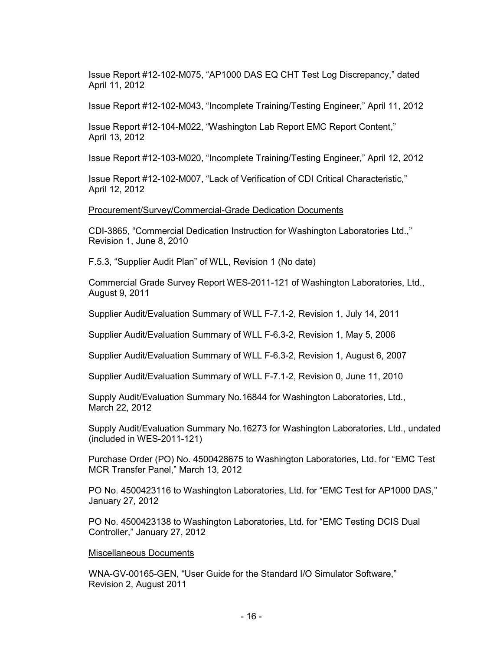Issue Report #12-102-M075, "AP1000 DAS EQ CHT Test Log Discrepancy," dated April 11, 2012

Issue Report #12-102-M043, "Incomplete Training/Testing Engineer," April 11, 2012

Issue Report #12-104-M022, "Washington Lab Report EMC Report Content," April 13, 2012

Issue Report #12-103-M020, "Incomplete Training/Testing Engineer," April 12, 2012

Issue Report #12-102-M007, "Lack of Verification of CDI Critical Characteristic," April 12, 2012

Procurement/Survey/Commercial-Grade Dedication Documents

CDI-3865, "Commercial Dedication Instruction for Washington Laboratories Ltd.," Revision 1, June 8, 2010

F.5.3, "Supplier Audit Plan" of WLL, Revision 1 (No date)

Commercial Grade Survey Report WES-2011-121 of Washington Laboratories, Ltd., August 9, 2011

Supplier Audit/Evaluation Summary of WLL F-7.1-2, Revision 1, July 14, 2011

Supplier Audit/Evaluation Summary of WLL F-6.3-2, Revision 1, May 5, 2006

Supplier Audit/Evaluation Summary of WLL F-6.3-2, Revision 1, August 6, 2007

Supplier Audit/Evaluation Summary of WLL F-7.1-2, Revision 0, June 11, 2010

Supply Audit/Evaluation Summary No.16844 for Washington Laboratories, Ltd., March 22, 2012

Supply Audit/Evaluation Summary No.16273 for Washington Laboratories, Ltd., undated (included in WES-2011-121)

Purchase Order (PO) No. 4500428675 to Washington Laboratories, Ltd. for "EMC Test MCR Transfer Panel," March 13, 2012

PO No. 4500423116 to Washington Laboratories, Ltd. for "EMC Test for AP1000 DAS," January 27, 2012

PO No. 4500423138 to Washington Laboratories, Ltd. for "EMC Testing DCIS Dual Controller," January 27, 2012

#### Miscellaneous Documents

WNA-GV-00165-GEN, "User Guide for the Standard I/O Simulator Software," Revision 2, August 2011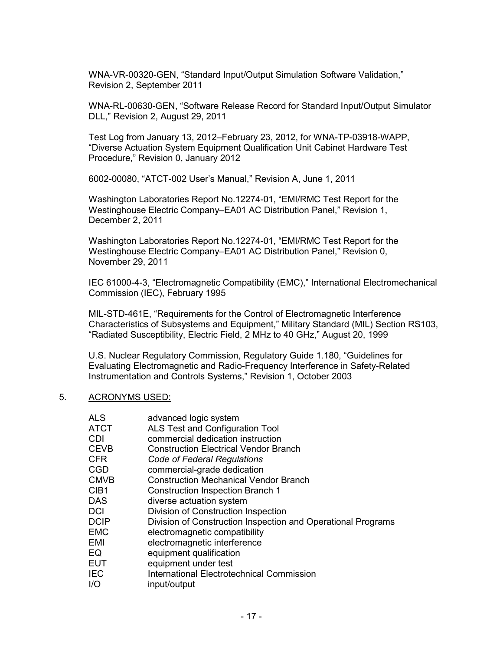WNA-VR-00320-GEN, "Standard Input/Output Simulation Software Validation," Revision 2, September 2011

WNA-RL-00630-GEN, "Software Release Record for Standard Input/Output Simulator DLL," Revision 2, August 29, 2011

Test Log from January 13, 2012–February 23, 2012, for WNA-TP-03918-WAPP, "Diverse Actuation System Equipment Qualification Unit Cabinet Hardware Test Procedure," Revision 0, January 2012

6002-00080, "ATCT-002 User's Manual," Revision A, June 1, 2011

Washington Laboratories Report No.12274-01, "EMI/RMC Test Report for the Westinghouse Electric Company–EA01 AC Distribution Panel," Revision 1, December 2, 2011

Washington Laboratories Report No.12274-01, "EMI/RMC Test Report for the Westinghouse Electric Company–EA01 AC Distribution Panel," Revision 0, November 29, 2011

IEC 61000-4-3, "Electromagnetic Compatibility (EMC)," International Electromechanical Commission (IEC), February 1995

MIL-STD-461E, "Requirements for the Control of Electromagnetic Interference Characteristics of Subsystems and Equipment," Military Standard (MIL) Section RS103, "Radiated Susceptibility, Electric Field, 2 MHz to 40 GHz," August 20, 1999

U.S. Nuclear Regulatory Commission, Regulatory Guide 1.180, "Guidelines for Evaluating Electromagnetic and Radio-Frequency Interference in Safety-Related Instrumentation and Controls Systems," Revision 1, October 2003

#### 5. ACRONYMS USED:

| ALS  | advanced logic system                                        |
|------|--------------------------------------------------------------|
| ATCT | ALS Test and Configuration Tool                              |
| CDI  | commercial dedication instruction                            |
| CEVB | <b>Construction Electrical Vendor Branch</b>                 |
| CFR  | Code of Federal Regulations                                  |
| CGD  | commercial-grade dedication                                  |
| CMVB | <b>Construction Mechanical Vendor Branch</b>                 |
| CIB1 | <b>Construction Inspection Branch 1</b>                      |
| DAS  | diverse actuation system                                     |
| DCI  | Division of Construction Inspection                          |
| DCIP | Division of Construction Inspection and Operational Programs |
| EMC  | electromagnetic compatibility                                |
| EMI  | electromagnetic interference                                 |
| EQ   | equipment qualification                                      |
| EUT  | equipment under test                                         |
| IEC  | <b>International Electrotechnical Commission</b>             |
| I/O  | input/output                                                 |
|      |                                                              |